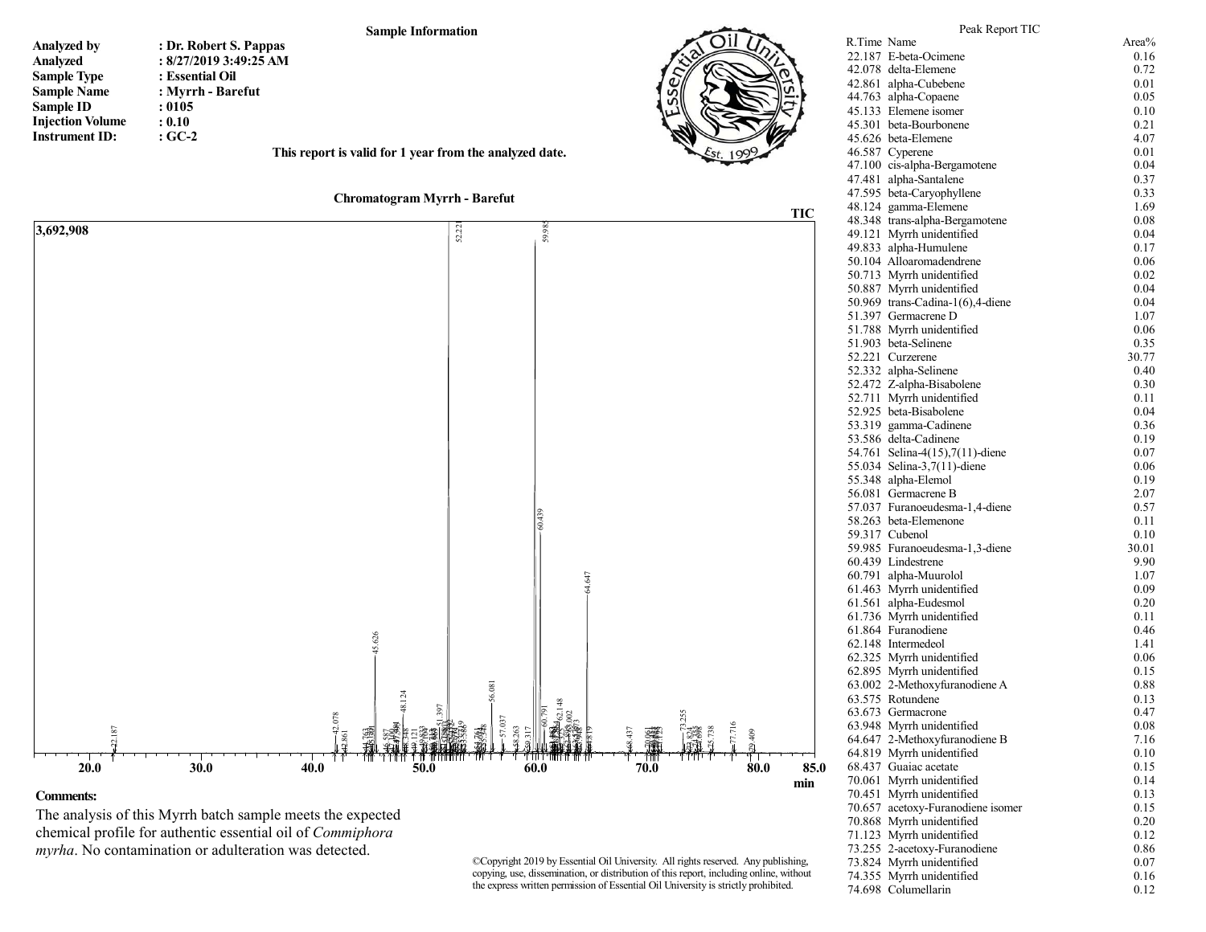

The analysis of this Myrrh batch sample meets the expected chemical profile for authentic essential oil of *Commiphora myrha*. No contamination or adulteration was detected.

©Copyright 2019 by Essential Oil University. All rights reserved. Any publishing, copying, use, dissemination, or distribution of this report, including online, without the express written permission of Essential Oil University is strictly prohibited.

73.824 Myrrh unidentified 0.07<br>74.355 Myrrh unidentified 0.16 74.355 Myrrh unidentified 74.698 Columellarin 0.12

71.123 Myrrh unidentified

70.868 Myrrh unidentified 0.20<br>71.123 Myrrh unidentified 0.12

73.255 2-acetoxy-Furanodiene 0.86<br>73.824 Myrrh unidentified 0.07